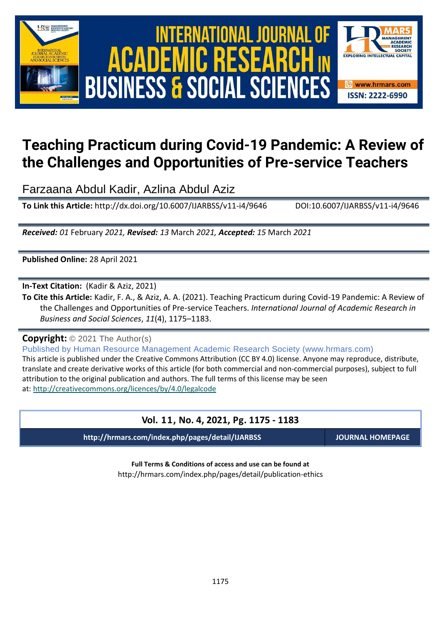

# International Journal of Academic Research in Business and Social Sciences **Vol. 1 1 , No. 4, 2021, E-ISSN: 2222-6990 © 2021 HRMARS ACADEMIC BUSINESS & SOCIAL SCIENCES**



# **Teaching Practicum during Covid-19 Pandemic: A Review of the Challenges and Opportunities of Pre-service Teachers**

Farzaana Abdul Kadir, Azlina Abdul Aziz

**To Link this Article:** http://dx.doi.org/10.6007/IJARBSS/v11-i4/9646 DOI:10.6007/IJARBSS/v11-i4/9646

*Received: 01* February *2021, Revised: 13* March *2021, Accepted: 15* March *2021*

**Published Online:** 28 April 2021

**In-Text Citation:** (Kadir & Aziz, 2021)

**To Cite this Article:** Kadir, F. A., & Aziz, A. A. (2021). Teaching Practicum during Covid-19 Pandemic: A Review of the Challenges and Opportunities of Pre-service Teachers. *International Journal of Academic Research in Business and Social Sciences*, *11*(4), 1175–1183.

**Copyright:** © 2021 The Author(s)

Published by Human Resource Management Academic Research Society (www.hrmars.com)

This article is published under the Creative Commons Attribution (CC BY 4.0) license. Anyone may reproduce, distribute, translate and create derivative works of this article (for both commercial and non-commercial purposes), subject to full attribution to the original publication and authors. The full terms of this license may be seen at: <http://creativecommons.org/licences/by/4.0/legalcode>

### **Vol. 11, No. 4, 2021, Pg. 1175 - 1183**

**http://hrmars.com/index.php/pages/detail/IJARBSS JOURNAL HOMEPAGE**

**Full Terms & Conditions of access and use can be found at** http://hrmars.com/index.php/pages/detail/publication-ethics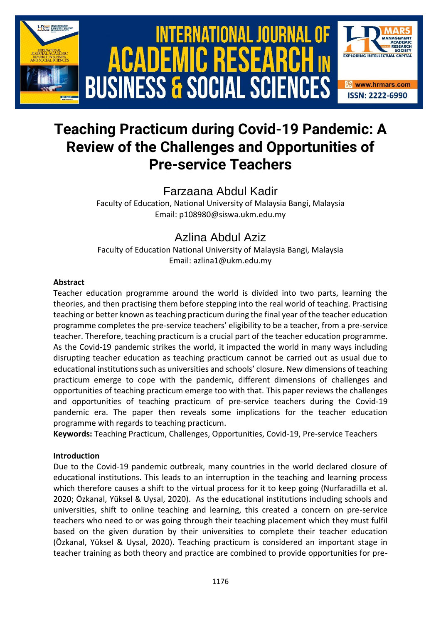

## **Teaching Practicum during Covid-19 Pandemic: A Review of the Challenges and Opportunities of Pre-service Teachers**

Farzaana Abdul Kadir

Faculty of Education, National University of Malaysia Bangi, Malaysia Email: p108980@siswa.ukm.edu.my

## Azlina Abdul Aziz

Faculty of Education National University of Malaysia Bangi, Malaysia Email: azlina1@ukm.edu.my

#### **Abstract**

Teacher education programme around the world is divided into two parts, learning the theories, and then practising them before stepping into the real world of teaching. Practising teaching or better known as teaching practicum during the final year of the teacher education programme completes the pre-service teachers' eligibility to be a teacher, from a pre-service teacher. Therefore, teaching practicum is a crucial part of the teacher education programme. As the Covid-19 pandemic strikes the world, it impacted the world in many ways including disrupting teacher education as teaching practicum cannot be carried out as usual due to educational institutions such as universities and schools' closure. New dimensions of teaching practicum emerge to cope with the pandemic, different dimensions of challenges and opportunities of teaching practicum emerge too with that. This paper reviews the challenges and opportunities of teaching practicum of pre-service teachers during the Covid-19 pandemic era. The paper then reveals some implications for the teacher education programme with regards to teaching practicum.

**Keywords:** Teaching Practicum, Challenges, Opportunities, Covid-19, Pre-service Teachers

#### **Introduction**

Due to the Covid-19 pandemic outbreak, many countries in the world declared closure of educational institutions. This leads to an interruption in the teaching and learning process which therefore causes a shift to the virtual process for it to keep going (Nurfaradilla et al. 2020; Özkanal, Yüksel & Uysal, 2020). As the educational institutions including schools and universities, shift to online teaching and learning, this created a concern on pre-service teachers who need to or was going through their teaching placement which they must fulfil based on the given duration by their universities to complete their teacher education (Özkanal, Yüksel & Uysal, 2020). Teaching practicum is considered an important stage in teacher training as both theory and practice are combined to provide opportunities for pre-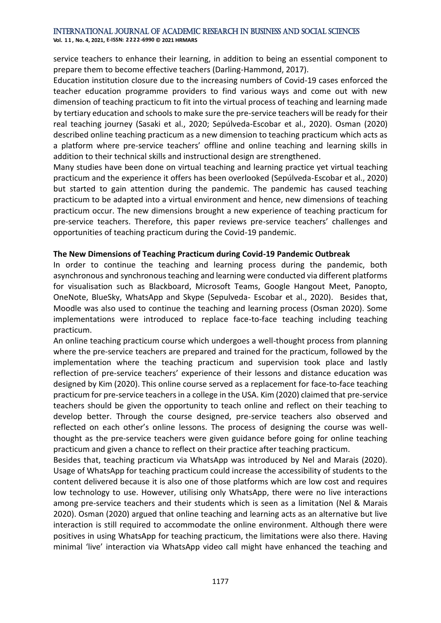**Vol. 1 1 , No. 4, 2021, E-ISSN: 2222-6990 © 2021 HRMARS**

service teachers to enhance their learning, in addition to being an essential component to prepare them to become effective teachers (Darling-Hammond, 2017).

Education institution closure due to the increasing numbers of Covid-19 cases enforced the teacher education programme providers to find various ways and come out with new dimension of teaching practicum to fit into the virtual process of teaching and learning made by tertiary education and schools to make sure the pre-service teachers will be ready for their real teaching journey (Sasaki et al., 2020; Sepúlveda-Escobar et al., 2020). Osman (2020) described online teaching practicum as a new dimension to teaching practicum which acts as a platform where pre-service teachers' offline and online teaching and learning skills in addition to their technical skills and instructional design are strengthened.

Many studies have been done on virtual teaching and learning practice yet virtual teaching practicum and the experience it offers has been overlooked (Sepúlveda-Escobar et al., 2020) but started to gain attention during the pandemic. The pandemic has caused teaching practicum to be adapted into a virtual environment and hence, new dimensions of teaching practicum occur. The new dimensions brought a new experience of teaching practicum for pre-service teachers. Therefore, this paper reviews pre-service teachers' challenges and opportunities of teaching practicum during the Covid-19 pandemic.

#### **The New Dimensions of Teaching Practicum during Covid-19 Pandemic Outbreak**

In order to continue the teaching and learning process during the pandemic, both asynchronous and synchronous teaching and learning were conducted via different platforms for visualisation such as Blackboard, Microsoft Teams, Google Hangout Meet, Panopto, OneNote, BlueSky, WhatsApp and Skype (Sepulveda- Escobar et al., 2020). Besides that, Moodle was also used to continue the teaching and learning process (Osman 2020). Some implementations were introduced to replace face-to-face teaching including teaching practicum.

An online teaching practicum course which undergoes a well-thought process from planning where the pre-service teachers are prepared and trained for the practicum, followed by the implementation where the teaching practicum and supervision took place and lastly reflection of pre-service teachers' experience of their lessons and distance education was designed by Kim (2020). This online course served as a replacement for face-to-face teaching practicum for pre-service teachers in a college in the USA. Kim (2020) claimed that pre-service teachers should be given the opportunity to teach online and reflect on their teaching to develop better. Through the course designed, pre-service teachers also observed and reflected on each other's online lessons. The process of designing the course was wellthought as the pre-service teachers were given guidance before going for online teaching practicum and given a chance to reflect on their practice after teaching practicum.

Besides that, teaching practicum via WhatsApp was introduced by Nel and Marais (2020). Usage of WhatsApp for teaching practicum could increase the accessibility of students to the content delivered because it is also one of those platforms which are low cost and requires low technology to use. However, utilising only WhatsApp, there were no live interactions among pre-service teachers and their students which is seen as a limitation (Nel & Marais 2020). Osman (2020) argued that online teaching and learning acts as an alternative but live interaction is still required to accommodate the online environment. Although there were positives in using WhatsApp for teaching practicum, the limitations were also there. Having minimal 'live' interaction via WhatsApp video call might have enhanced the teaching and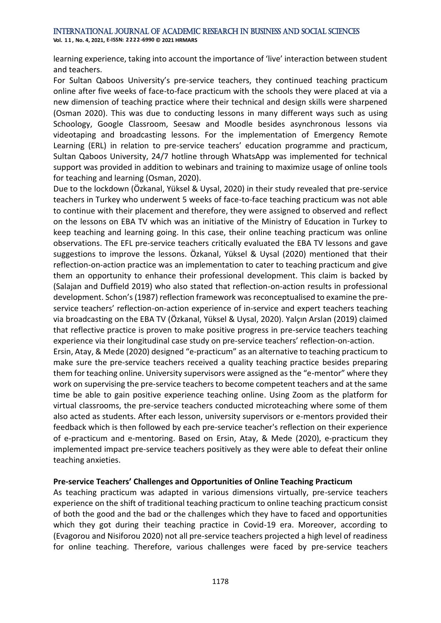**Vol. 1 1 , No. 4, 2021, E-ISSN: 2222-6990 © 2021 HRMARS**

learning experience, taking into account the importance of 'live' interaction between student and teachers.

For Sultan Qaboos University's pre-service teachers, they continued teaching practicum online after five weeks of face-to-face practicum with the schools they were placed at via a new dimension of teaching practice where their technical and design skills were sharpened (Osman 2020). This was due to conducting lessons in many different ways such as using Schoology, Google Classroom, Seesaw and Moodle besides asynchronous lessons via videotaping and broadcasting lessons. For the implementation of Emergency Remote Learning (ERL) in relation to pre-service teachers' education programme and practicum, Sultan Qaboos University, 24/7 hotline through WhatsApp was implemented for technical support was provided in addition to webinars and training to maximize usage of online tools for teaching and learning (Osman, 2020).

Due to the lockdown (Özkanal, Yüksel & Uysal, 2020) in their study revealed that pre-service teachers in Turkey who underwent 5 weeks of face-to-face teaching practicum was not able to continue with their placement and therefore, they were assigned to observed and reflect on the lessons on EBA TV which was an initiative of the Ministry of Education in Turkey to keep teaching and learning going. In this case, their online teaching practicum was online observations. The EFL pre-service teachers critically evaluated the EBA TV lessons and gave suggestions to improve the lessons. Özkanal, Yüksel & Uysal (2020) mentioned that their reflection-on-action practice was an implementation to cater to teaching practicum and give them an opportunity to enhance their professional development. This claim is backed by (Salajan and Duffield 2019) who also stated that reflection-on-action results in professional development. Schon's (1987) reflection framework was reconceptualised to examine the preservice teachers' reflection-on-action experience of in-service and expert teachers teaching via broadcasting on the EBA TV (Özkanal, Yüksel & Uysal, 2020). Yalçın Arslan (2019) claimed that reflective practice is proven to make positive progress in pre-service teachers teaching experience via their longitudinal case study on pre-service teachers' reflection-on-action.

Ersin, Atay, & Mede (2020) designed "e-practicum" as an alternative to teaching practicum to make sure the pre-service teachers received a quality teaching practice besides preparing them for teaching online. University supervisors were assigned as the "e-mentor" where they work on supervising the pre-service teachers to become competent teachers and at the same time be able to gain positive experience teaching online. Using Zoom as the platform for virtual classrooms, the pre-service teachers conducted microteaching where some of them also acted as students. After each lesson, university supervisors or e-mentors provided their feedback which is then followed by each pre-service teacher's reflection on their experience of e-practicum and e-mentoring. Based on Ersin, Atay, & Mede (2020), e-practicum they implemented impact pre-service teachers positively as they were able to defeat their online teaching anxieties.

#### **Pre-service Teachers' Challenges and Opportunities of Online Teaching Practicum**

As teaching practicum was adapted in various dimensions virtually, pre-service teachers experience on the shift of traditional teaching practicum to online teaching practicum consist of both the good and the bad or the challenges which they have to faced and opportunities which they got during their teaching practice in Covid-19 era. Moreover, according to (Evagorou and Nisiforou 2020) not all pre-service teachers projected a high level of readiness for online teaching. Therefore, various challenges were faced by pre-service teachers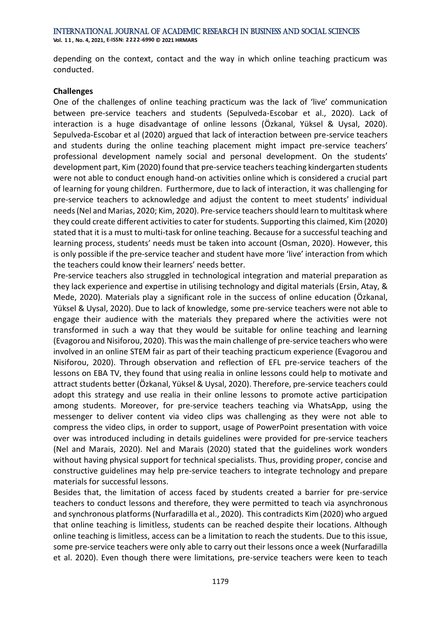International Journal of Academic Research in Business and Social Sciences **Vol. 1 1 , No. 4, 2021, E-ISSN: 2222-6990 © 2021 HRMARS**

depending on the context, contact and the way in which online teaching practicum was conducted.

#### **Challenges**

One of the challenges of online teaching practicum was the lack of 'live' communication between pre-service teachers and students (Sepulveda-Escobar et al., 2020). Lack of interaction is a huge disadvantage of online lessons (Özkanal, Yüksel & Uysal, 2020). Sepulveda-Escobar et al (2020) argued that lack of interaction between pre-service teachers and students during the online teaching placement might impact pre-service teachers' professional development namely social and personal development. On the students' development part, Kim (2020) found that pre-service teachers teaching kindergarten students were not able to conduct enough hand-on activities online which is considered a crucial part of learning for young children. Furthermore, due to lack of interaction, it was challenging for pre-service teachers to acknowledge and adjust the content to meet students' individual needs (Nel and Marias, 2020; Kim, 2020). Pre-service teachers should learn to multitask where they could create different activities to cater for students. Supporting this claimed, Kim (2020) stated that it is a must to multi-task for online teaching. Because for a successful teaching and learning process, students' needs must be taken into account (Osman, 2020). However, this is only possible if the pre-service teacher and student have more 'live' interaction from which the teachers could know their learners' needs better.

Pre-service teachers also struggled in technological integration and material preparation as they lack experience and expertise in utilising technology and digital materials (Ersin, Atay, & Mede, 2020). Materials play a significant role in the success of online education (Özkanal, Yüksel & Uysal, 2020). Due to lack of knowledge, some pre-service teachers were not able to engage their audience with the materials they prepared where the activities were not transformed in such a way that they would be suitable for online teaching and learning (Evagorou and Nisiforou, 2020). This was the main challenge of pre-service teachers who were involved in an online STEM fair as part of their teaching practicum experience (Evagorou and Nisiforou, 2020). Through observation and reflection of EFL pre-service teachers of the lessons on EBA TV, they found that using realia in online lessons could help to motivate and attract students better (Özkanal, Yüksel & Uysal, 2020). Therefore, pre-service teachers could adopt this strategy and use realia in their online lessons to promote active participation among students. Moreover, for pre-service teachers teaching via WhatsApp, using the messenger to deliver content via video clips was challenging as they were not able to compress the video clips, in order to support, usage of PowerPoint presentation with voice over was introduced including in details guidelines were provided for pre-service teachers (Nel and Marais, 2020). Nel and Marais (2020) stated that the guidelines work wonders without having physical support for technical specialists. Thus, providing proper, concise and constructive guidelines may help pre-service teachers to integrate technology and prepare materials for successful lessons.

Besides that, the limitation of access faced by students created a barrier for pre-service teachers to conduct lessons and therefore, they were permitted to teach via asynchronous and synchronous platforms (Nurfaradilla et al., 2020). This contradicts Kim (2020) who argued that online teaching is limitless, students can be reached despite their locations. Although online teaching is limitless, access can be a limitation to reach the students. Due to this issue, some pre-service teachers were only able to carry out their lessons once a week (Nurfaradilla et al. 2020). Even though there were limitations, pre-service teachers were keen to teach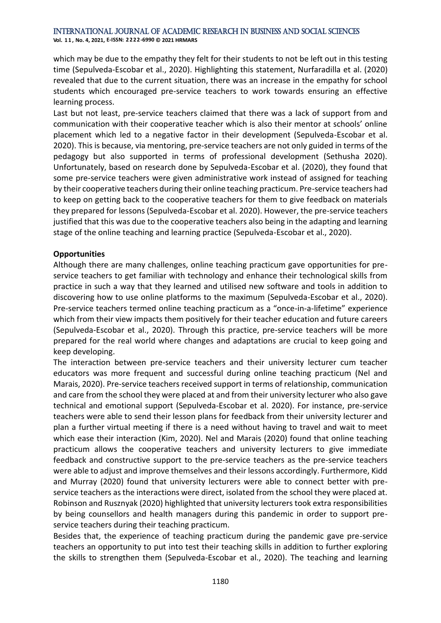**Vol. 1 1 , No. 4, 2021, E-ISSN: 2222-6990 © 2021 HRMARS**

which may be due to the empathy they felt for their students to not be left out in this testing time (Sepulveda-Escobar et al., 2020). Highlighting this statement, Nurfaradilla et al. (2020) revealed that due to the current situation, there was an increase in the empathy for school students which encouraged pre-service teachers to work towards ensuring an effective learning process.

Last but not least, pre-service teachers claimed that there was a lack of support from and communication with their cooperative teacher which is also their mentor at schools' online placement which led to a negative factor in their development (Sepulveda-Escobar et al. 2020). This is because, via mentoring, pre-service teachers are not only guided in terms of the pedagogy but also supported in terms of professional development (Sethusha 2020). Unfortunately, based on research done by Sepulveda-Escobar et al. (2020), they found that some pre-service teachers were given administrative work instead of assigned for teaching by their cooperative teachers during their online teaching practicum. Pre-service teachers had to keep on getting back to the cooperative teachers for them to give feedback on materials they prepared for lessons (Sepulveda-Escobar et al. 2020). However, the pre-service teachers justified that this was due to the cooperative teachers also being in the adapting and learning stage of the online teaching and learning practice (Sepulveda-Escobar et al., 2020).

#### **Opportunities**

Although there are many challenges, online teaching practicum gave opportunities for preservice teachers to get familiar with technology and enhance their technological skills from practice in such a way that they learned and utilised new software and tools in addition to discovering how to use online platforms to the maximum (Sepulveda-Escobar et al., 2020). Pre-service teachers termed online teaching practicum as a "once-in-a-lifetime" experience which from their view impacts them positively for their teacher education and future careers (Sepulveda-Escobar et al., 2020). Through this practice, pre-service teachers will be more prepared for the real world where changes and adaptations are crucial to keep going and keep developing.

The interaction between pre-service teachers and their university lecturer cum teacher educators was more frequent and successful during online teaching practicum (Nel and Marais, 2020). Pre-service teachers received support in terms of relationship, communication and care from the school they were placed at and from their university lecturer who also gave technical and emotional support (Sepulveda-Escobar et al. 2020). For instance, pre-service teachers were able to send their lesson plans for feedback from their university lecturer and plan a further virtual meeting if there is a need without having to travel and wait to meet which ease their interaction (Kim, 2020). Nel and Marais (2020) found that online teaching practicum allows the cooperative teachers and university lecturers to give immediate feedback and constructive support to the pre-service teachers as the pre-service teachers were able to adjust and improve themselves and their lessons accordingly. Furthermore, Kidd and Murray (2020) found that university lecturers were able to connect better with preservice teachers as the interactions were direct, isolated from the school they were placed at. Robinson and Rusznyak (2020) highlighted that university lecturers took extra responsibilities by being counsellors and health managers during this pandemic in order to support preservice teachers during their teaching practicum.

Besides that, the experience of teaching practicum during the pandemic gave pre-service teachers an opportunity to put into test their teaching skills in addition to further exploring the skills to strengthen them (Sepulveda-Escobar et al., 2020). The teaching and learning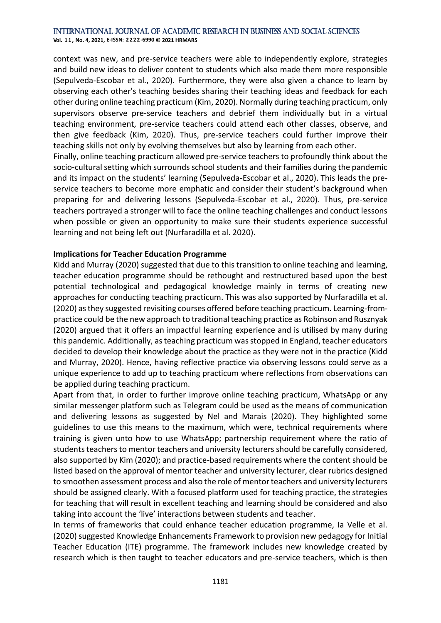**Vol. 1 1 , No. 4, 2021, E-ISSN: 2222-6990 © 2021 HRMARS**

context was new, and pre-service teachers were able to independently explore, strategies and build new ideas to deliver content to students which also made them more responsible (Sepulveda-Escobar et al., 2020). Furthermore, they were also given a chance to learn by observing each other's teaching besides sharing their teaching ideas and feedback for each other during online teaching practicum (Kim, 2020). Normally during teaching practicum, only supervisors observe pre-service teachers and debrief them individually but in a virtual teaching environment, pre-service teachers could attend each other classes, observe, and then give feedback (Kim, 2020). Thus, pre-service teachers could further improve their teaching skills not only by evolving themselves but also by learning from each other.

Finally, online teaching practicum allowed pre-service teachers to profoundly think about the socio-cultural setting which surrounds school students and their families during the pandemic and its impact on the students' learning (Sepulveda-Escobar et al., 2020). This leads the preservice teachers to become more emphatic and consider their student's background when preparing for and delivering lessons (Sepulveda-Escobar et al., 2020). Thus, pre-service teachers portrayed a stronger will to face the online teaching challenges and conduct lessons when possible or given an opportunity to make sure their students experience successful learning and not being left out (Nurfaradilla et al. 2020).

#### **Implications for Teacher Education Programme**

Kidd and Murray (2020) suggested that due to this transition to online teaching and learning, teacher education programme should be rethought and restructured based upon the best potential technological and pedagogical knowledge mainly in terms of creating new approaches for conducting teaching practicum. This was also supported by Nurfaradilla et al. (2020) as they suggested revisiting courses offered before teaching practicum. Learning-frompractice could be the new approach to traditional teaching practice as Robinson and Rusznyak (2020) argued that it offers an impactful learning experience and is utilised by many during this pandemic. Additionally, as teaching practicum was stopped in England, teacher educators decided to develop their knowledge about the practice as they were not in the practice (Kidd and Murray, 2020). Hence, having reflective practice via observing lessons could serve as a unique experience to add up to teaching practicum where reflections from observations can be applied during teaching practicum.

Apart from that, in order to further improve online teaching practicum, WhatsApp or any similar messenger platform such as Telegram could be used as the means of communication and delivering lessons as suggested by Nel and Marais (2020). They highlighted some guidelines to use this means to the maximum, which were, technical requirements where training is given unto how to use WhatsApp; partnership requirement where the ratio of students teachers to mentor teachers and university lecturers should be carefully considered, also supported by Kim (2020); and practice-based requirements where the content should be listed based on the approval of mentor teacher and university lecturer, clear rubrics designed to smoothen assessment process and also the role of mentor teachers and university lecturers should be assigned clearly. With a focused platform used for teaching practice, the strategies for teaching that will result in excellent teaching and learning should be considered and also taking into account the 'live' interactions between students and teacher.

In terms of frameworks that could enhance teacher education programme, Ia Velle et al. (2020) suggested Knowledge Enhancements Framework to provision new pedagogy for Initial Teacher Education (ITE) programme. The framework includes new knowledge created by research which is then taught to teacher educators and pre-service teachers, which is then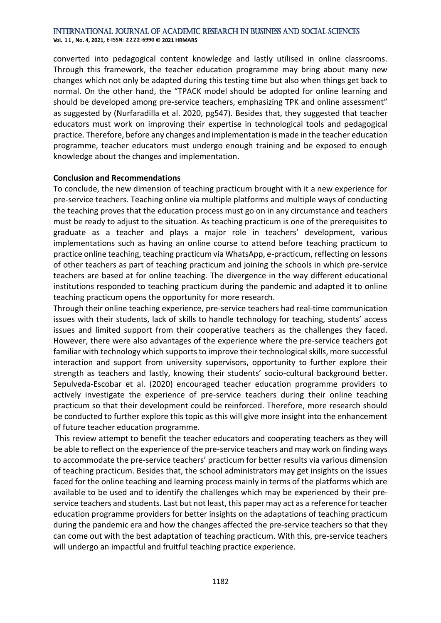**Vol. 1 1 , No. 4, 2021, E-ISSN: 2222-6990 © 2021 HRMARS**

converted into pedagogical content knowledge and lastly utilised in online classrooms. Through this framework, the teacher education programme may bring about many new changes which not only be adapted during this testing time but also when things get back to normal. On the other hand, the "TPACK model should be adopted for online learning and should be developed among pre-service teachers, emphasizing TPK and online assessment" as suggested by (Nurfaradilla et al. 2020, pg547). Besides that, they suggested that teacher educators must work on improving their expertise in technological tools and pedagogical practice. Therefore, before any changes and implementation is made in the teacher education programme, teacher educators must undergo enough training and be exposed to enough knowledge about the changes and implementation.

#### **Conclusion and Recommendations**

To conclude, the new dimension of teaching practicum brought with it a new experience for pre-service teachers. Teaching online via multiple platforms and multiple ways of conducting the teaching proves that the education process must go on in any circumstance and teachers must be ready to adjust to the situation. As teaching practicum is one of the prerequisites to graduate as a teacher and plays a major role in teachers' development, various implementations such as having an online course to attend before teaching practicum to practice online teaching, teaching practicum via WhatsApp, e-practicum, reflecting on lessons of other teachers as part of teaching practicum and joining the schools in which pre-service teachers are based at for online teaching. The divergence in the way different educational institutions responded to teaching practicum during the pandemic and adapted it to online teaching practicum opens the opportunity for more research.

Through their online teaching experience, pre-service teachers had real-time communication issues with their students, lack of skills to handle technology for teaching, students' access issues and limited support from their cooperative teachers as the challenges they faced. However, there were also advantages of the experience where the pre-service teachers got familiar with technology which supports to improve their technological skills, more successful interaction and support from university supervisors, opportunity to further explore their strength as teachers and lastly, knowing their students' socio-cultural background better. Sepulveda-Escobar et al. (2020) encouraged teacher education programme providers to actively investigate the experience of pre-service teachers during their online teaching practicum so that their development could be reinforced. Therefore, more research should be conducted to further explore this topic as this will give more insight into the enhancement of future teacher education programme.

This review attempt to benefit the teacher educators and cooperating teachers as they will be able to reflect on the experience of the pre-service teachers and may work on finding ways to accommodate the pre-service teachers' practicum for better results via various dimension of teaching practicum. Besides that, the school administrators may get insights on the issues faced for the online teaching and learning process mainly in terms of the platforms which are available to be used and to identify the challenges which may be experienced by their preservice teachers and students. Last but not least, this paper may act as a reference for teacher education programme providers for better insights on the adaptations of teaching practicum during the pandemic era and how the changes affected the pre-service teachers so that they can come out with the best adaptation of teaching practicum. With this, pre-service teachers will undergo an impactful and fruitful teaching practice experience.